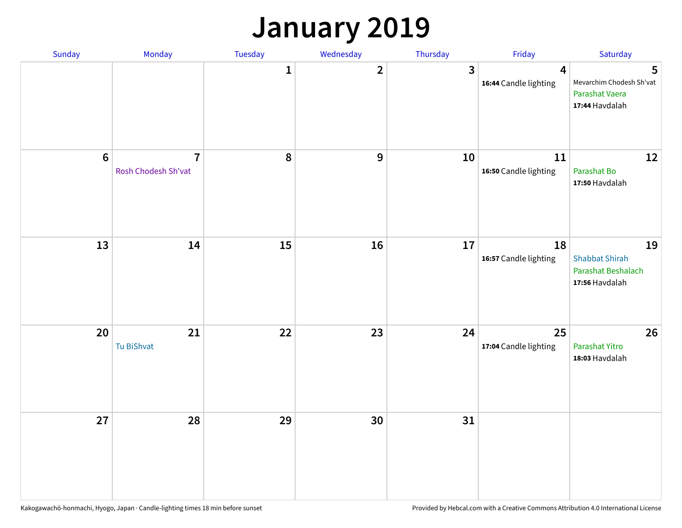### **January 2019**

| Sunday | Monday                                | Tuesday      | Wednesday      | Thursday | Friday                                  | Saturday                                                            |
|--------|---------------------------------------|--------------|----------------|----------|-----------------------------------------|---------------------------------------------------------------------|
|        |                                       | $\mathbf{1}$ | $\overline{2}$ | 3        | $\overline{4}$<br>16:44 Candle lighting | 5<br>Mevarchim Chodesh Sh'vat<br>Parashat Vaera<br>17:44 Havdalah   |
| $6\,$  | $\overline{7}$<br>Rosh Chodesh Sh'vat | 8            | 9              | 10       | $11\,$<br>16:50 Candle lighting         | 12<br>Parashat Bo<br>17:50 Havdalah                                 |
| 13     | 14                                    | 15           | 16             | 17       | 18<br>16:57 Candle lighting             | 19<br><b>Shabbat Shirah</b><br>Parashat Beshalach<br>17:56 Havdalah |
| 20     | 21<br>Tu BiShvat                      | 22           | 23             | 24       | 25<br>17:04 Candle lighting             | 26<br>Parashat Yitro<br>18:03 Havdalah                              |
| 27     | 28                                    | 29           | 30             | 31       |                                         |                                                                     |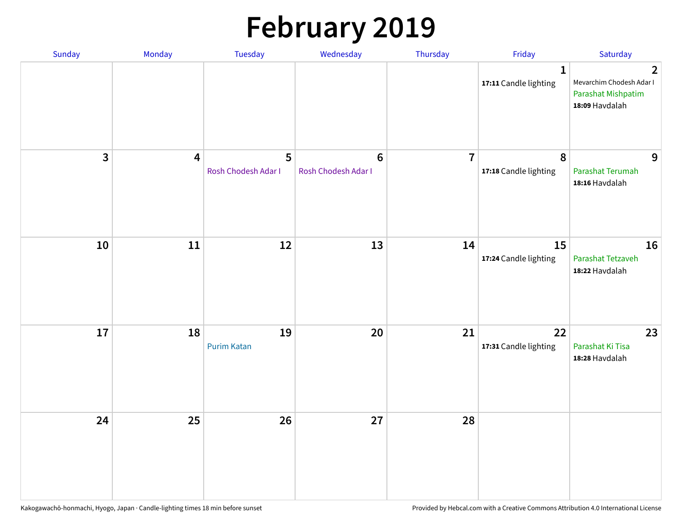# **February 2019**

| Sunday       | Monday                  | Tuesday                  | Wednesday                      | Thursday       | Friday                                    | Saturday                                                                           |
|--------------|-------------------------|--------------------------|--------------------------------|----------------|-------------------------------------------|------------------------------------------------------------------------------------|
|              |                         |                          |                                |                | $\mathbf{1}$<br>17:11 Candle lighting     | $\overline{2}$<br>Mevarchim Chodesh Adar I<br>Parashat Mishpatim<br>18:09 Havdalah |
| $\mathbf{3}$ | $\overline{\mathbf{4}}$ | 5<br>Rosh Chodesh Adar I | $\bf 6$<br>Rosh Chodesh Adar I | $\overline{7}$ | $\boldsymbol{8}$<br>17:18 Candle lighting | 9<br>Parashat Terumah<br>18:16 Havdalah                                            |
| ${\bf 10}$   | 11                      | 12                       | 13                             | 14             | 15<br>17:24 Candle lighting               | 16<br>Parashat Tetzaveh<br>18:22 Havdalah                                          |
| 17           | 18                      | 19<br><b>Purim Katan</b> | 20                             | 21             | 22<br>17:31 Candle lighting               | 23<br>Parashat Ki Tisa<br>18:28 Havdalah                                           |
| 24           | 25                      | 26                       | 27                             | 28             |                                           |                                                                                    |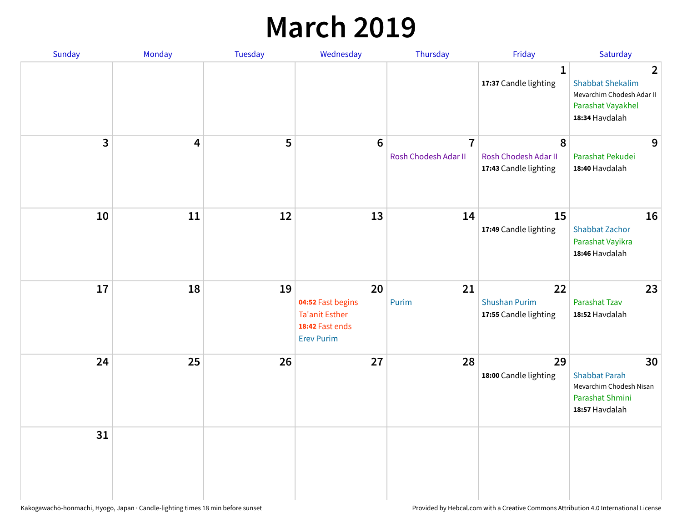### **March 2019**

| Sunday | Monday | Tuesday | Wednesday                                                                                | Thursday                               | Friday                                              | Saturday                                                                                                      |
|--------|--------|---------|------------------------------------------------------------------------------------------|----------------------------------------|-----------------------------------------------------|---------------------------------------------------------------------------------------------------------------|
|        |        |         |                                                                                          |                                        | $\mathbf{1}$<br>17:37 Candle lighting               | $\overline{2}$<br><b>Shabbat Shekalim</b><br>Mevarchim Chodesh Adar II<br>Parashat Vayakhel<br>18:34 Havdalah |
| 3      | 4      | 5       | $6\phantom{1}$                                                                           | $\overline{7}$<br>Rosh Chodesh Adar II | 8<br>Rosh Chodesh Adar II<br>17:43 Candle lighting  | 9<br>Parashat Pekudei<br>18:40 Havdalah                                                                       |
| 10     | 11     | 12      | 13                                                                                       | 14                                     | 15<br>17:49 Candle lighting                         | 16<br><b>Shabbat Zachor</b><br>Parashat Vayikra<br>18:46 Havdalah                                             |
| 17     | 18     | 19      | 20<br>04:52 Fast begins<br><b>Ta'anit Esther</b><br>18:42 Fast ends<br><b>Erev Purim</b> | 21<br>Purim                            | 22<br><b>Shushan Purim</b><br>17:55 Candle lighting | 23<br><b>Parashat Tzav</b><br>18:52 Havdalah                                                                  |
| 24     | 25     | 26      | 27                                                                                       | 28                                     | 29<br>18:00 Candle lighting                         | 30<br><b>Shabbat Parah</b><br>Mevarchim Chodesh Nisan<br>Parashat Shmini<br>18:57 Havdalah                    |
| 31     |        |         |                                                                                          |                                        |                                                     |                                                                                                               |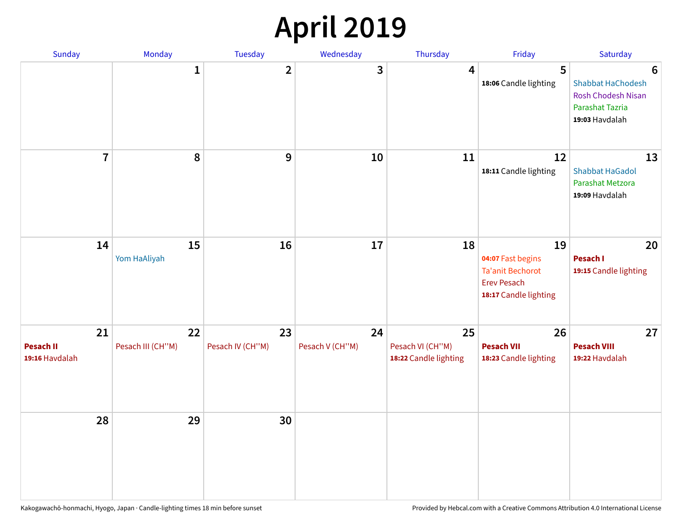## **April 2019**

| Sunday                                   | Monday                  | Tuesday                 | Wednesday             | Thursday                                        | Friday                                                                                            | Saturday                                                                                 |
|------------------------------------------|-------------------------|-------------------------|-----------------------|-------------------------------------------------|---------------------------------------------------------------------------------------------------|------------------------------------------------------------------------------------------|
|                                          | 1                       | $\overline{\mathbf{2}}$ | 3                     | 4                                               | 5<br>18:06 Candle lighting                                                                        | 6<br>Shabbat HaChodesh<br><b>Rosh Chodesh Nisan</b><br>Parashat Tazria<br>19:03 Havdalah |
| $\overline{7}$                           | 8                       | 9                       | 10                    | 11                                              | 12<br>18:11 Candle lighting                                                                       | 13<br><b>Shabbat HaGadol</b><br>Parashat Metzora<br>19:09 Havdalah                       |
| 14                                       | 15<br>Yom HaAliyah      | 16                      | 17                    | 18                                              | 19<br>04:07 Fast begins<br><b>Ta'anit Bechorot</b><br><b>Erev Pesach</b><br>18:17 Candle lighting | 20<br><b>Pesach I</b><br>19:15 Candle lighting                                           |
| 21<br><b>Pesach II</b><br>19:16 Havdalah | 22<br>Pesach III (CH"M) | 23<br>Pesach IV (CH"M)  | 24<br>Pesach V (CH"M) | 25<br>Pesach VI (CH"M)<br>18:22 Candle lighting | 26<br><b>Pesach VII</b><br>18:23 Candle lighting                                                  | 27<br><b>Pesach VIII</b><br>19:22 Havdalah                                               |
| 28                                       | 29                      | 30                      |                       |                                                 |                                                                                                   |                                                                                          |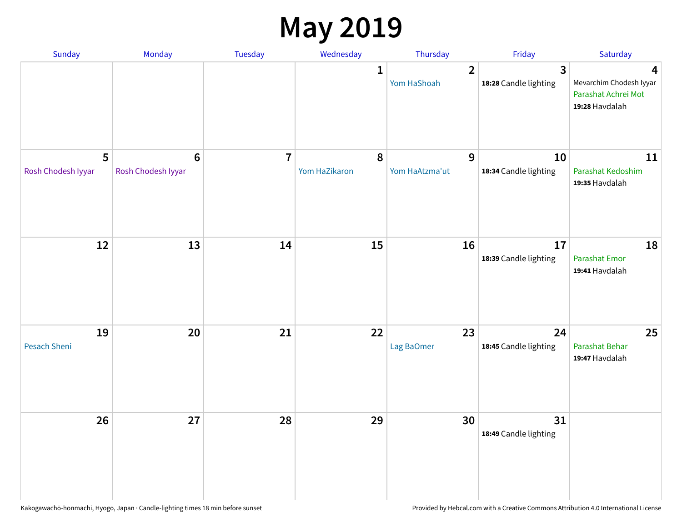### **May 2019**

| Sunday                    | Monday                                | Tuesday        | Wednesday                  | Thursday                      | Friday                                           | Saturday                                                              |
|---------------------------|---------------------------------------|----------------|----------------------------|-------------------------------|--------------------------------------------------|-----------------------------------------------------------------------|
|                           |                                       |                | $\mathbf{1}$               | $\overline{2}$<br>Yom HaShoah | $\overline{\mathbf{3}}$<br>18:28 Candle lighting | 4<br>Mevarchim Chodesh Iyyar<br>Parashat Achrei Mot<br>19:28 Havdalah |
| 5<br>Rosh Chodesh Iyyar   | $6\phantom{1}6$<br>Rosh Chodesh Iyyar | $\overline{7}$ | $\pmb{8}$<br>Yom HaZikaron | 9<br>Yom HaAtzma'ut           | 10<br>18:34 Candle lighting                      | 11<br>Parashat Kedoshim<br>19:35 Havdalah                             |
| 12                        | 13                                    | 14             | 15                         | 16                            | 17<br>18:39 Candle lighting                      | 18<br>Parashat Emor<br>19:41 Havdalah                                 |
| 19<br><b>Pesach Sheni</b> | 20                                    | 21             | 22                         | 23<br>Lag BaOmer              | 24<br>18:45 Candle lighting                      | 25<br>Parashat Behar<br>19:47 Havdalah                                |
| 26                        | 27                                    | 28             | 29                         | 30                            | 31<br>18:49 Candle lighting                      |                                                                       |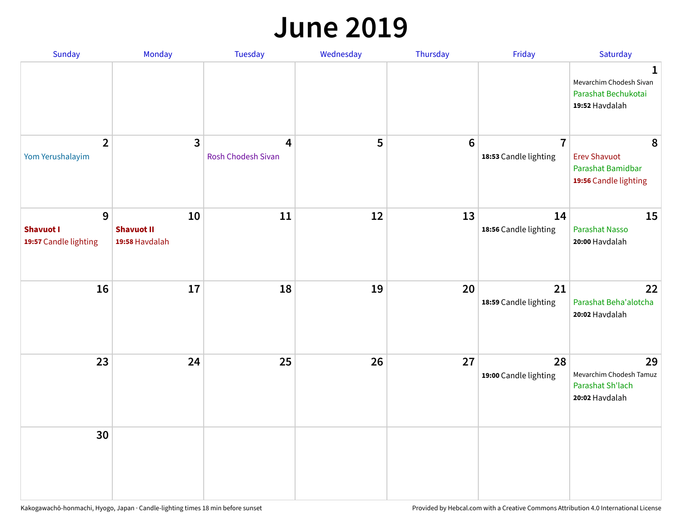#### **June 2019**

| <b>Sunday</b>                                  | Monday                                    | Tuesday                                              | Wednesday | Thursday        | Friday                                  | Saturday                                                               |
|------------------------------------------------|-------------------------------------------|------------------------------------------------------|-----------|-----------------|-----------------------------------------|------------------------------------------------------------------------|
|                                                |                                           |                                                      |           |                 |                                         | 1<br>Mevarchim Chodesh Sivan<br>Parashat Bechukotai<br>19:52 Havdalah  |
| $\overline{2}$<br>Yom Yerushalayim             | $\mathbf{3}$                              | $\overline{\mathbf{4}}$<br><b>Rosh Chodesh Sivan</b> | 5         | $6\phantom{1}6$ | $\overline{7}$<br>18:53 Candle lighting | 8<br><b>Erev Shavuot</b><br>Parashat Bamidbar<br>19:56 Candle lighting |
| 9<br><b>Shavuot I</b><br>19:57 Candle lighting | 10<br><b>Shavuot II</b><br>19:58 Havdalah | 11                                                   | 12        | 13              | 14<br>18:56 Candle lighting             | 15<br><b>Parashat Nasso</b><br>20:00 Havdalah                          |
| 16                                             | 17                                        | 18                                                   | 19        | 20              | 21<br>18:59 Candle lighting             | 22<br>Parashat Beha'alotcha<br>20:02 Havdalah                          |
| 23                                             | 24                                        | 25                                                   | 26        | 27              | 28<br>19:00 Candle lighting             | 29<br>Mevarchim Chodesh Tamuz<br>Parashat Sh'lach<br>20:02 Havdalah    |
| 30                                             |                                           |                                                      |           |                 |                                         |                                                                        |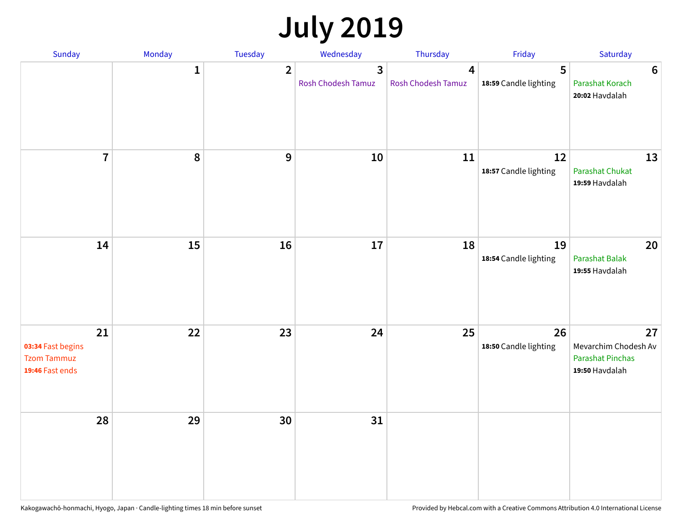## **July 2019**

| Sunday                                                           | Monday       | Tuesday        | Wednesday                            | Thursday                             | Friday                      | Saturday                                                                |
|------------------------------------------------------------------|--------------|----------------|--------------------------------------|--------------------------------------|-----------------------------|-------------------------------------------------------------------------|
|                                                                  | $\mathbf{1}$ | $\overline{2}$ | $\overline{3}$<br>Rosh Chodesh Tamuz | $\overline{4}$<br>Rosh Chodesh Tamuz | 5<br>18:59 Candle lighting  | $6\phantom{1}6$<br>Parashat Korach<br>20:02 Havdalah                    |
| $\overline{7}$                                                   | 8            | 9              | 10                                   | 11                                   | 12<br>18:57 Candle lighting | 13<br><b>Parashat Chukat</b><br>19:59 Havdalah                          |
| 14                                                               | 15           | 16             | 17                                   | 18                                   | 19<br>18:54 Candle lighting | 20<br><b>Parashat Balak</b><br>19:55 Havdalah                           |
| 21<br>03:34 Fast begins<br><b>Tzom Tammuz</b><br>19:46 Fast ends | 22           | 23             | 24                                   | 25                                   | 26<br>18:50 Candle lighting | 27<br>Mevarchim Chodesh Av<br><b>Parashat Pinchas</b><br>19:50 Havdalah |
| 28                                                               | 29           | 30             | 31                                   |                                      |                             |                                                                         |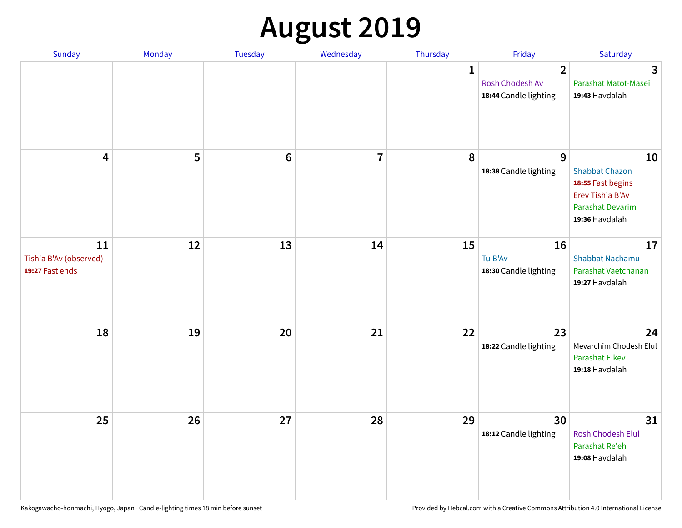## **August 2019**

| <b>Sunday</b>                                   | Monday | Tuesday         | Wednesday               | Thursday     | Friday                                                     | Saturday                                                                                                          |
|-------------------------------------------------|--------|-----------------|-------------------------|--------------|------------------------------------------------------------|-------------------------------------------------------------------------------------------------------------------|
|                                                 |        |                 |                         | $\mathbf{1}$ | $\overline{2}$<br>Rosh Chodesh Av<br>18:44 Candle lighting | $\overline{\mathbf{3}}$<br>Parashat Matot-Masei<br>19:43 Havdalah                                                 |
| $\overline{\mathbf{4}}$                         | 5      | $6\phantom{1}6$ | $\overline{\mathbf{7}}$ | 8            | 9<br>18:38 Candle lighting                                 | 10<br><b>Shabbat Chazon</b><br>18:55 Fast begins<br>Erev Tish'a B'Av<br><b>Parashat Devarim</b><br>19:36 Havdalah |
| 11<br>Tish'a B'Av (observed)<br>19:27 Fast ends | 12     | 13              | 14                      | 15           | 16<br>Tu B'Av<br>18:30 Candle lighting                     | 17<br><b>Shabbat Nachamu</b><br>Parashat Vaetchanan<br>19:27 Havdalah                                             |
| 18                                              | 19     | 20              | 21                      | 22           | 23<br>18:22 Candle lighting                                | 24<br>Mevarchim Chodesh Elul<br><b>Parashat Eikev</b><br>19:18 Havdalah                                           |
| 25                                              | 26     | 27              | 28                      | 29           | 30<br>18:12 Candle lighting                                | 31<br>Rosh Chodesh Elul<br>Parashat Re'eh<br>19:08 Havdalah                                                       |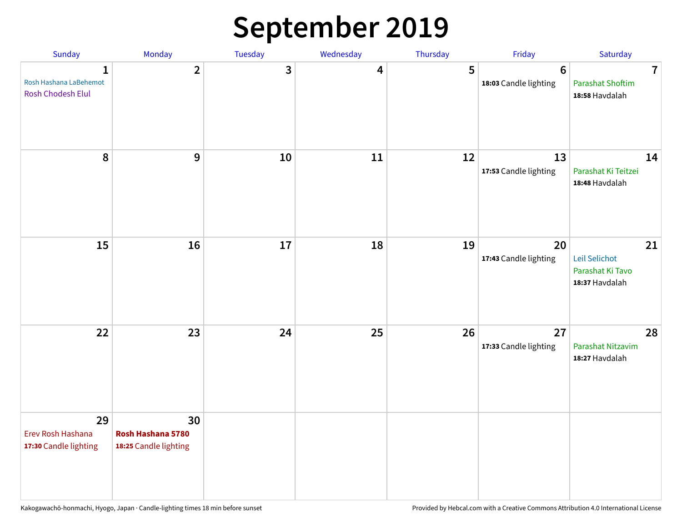### **September 2019**

| Sunday                                           | Monday                                           | Tuesday | Wednesday | Thursday | Friday                                   | Saturday                                                             |
|--------------------------------------------------|--------------------------------------------------|---------|-----------|----------|------------------------------------------|----------------------------------------------------------------------|
| 1<br>Rosh Hashana LaBehemot<br>Rosh Chodesh Elul | $\overline{2}$                                   | 3       | 4         | 5        | $6\phantom{1}6$<br>18:03 Candle lighting | $\overline{\mathbf{7}}$<br><b>Parashat Shoftim</b><br>18:58 Havdalah |
| 8                                                | 9                                                | 10      | 11        | 12       | 13<br>17:53 Candle lighting              | 14<br>Parashat Ki Teitzei<br>18:48 Havdalah                          |
| 15                                               | 16                                               | 17      | 18        | 19       | 20<br>17:43 Candle lighting              | 21<br>Leil Selichot<br>Parashat Ki Tavo<br>18:37 Havdalah            |
| 22                                               | 23                                               | 24      | 25        | 26       | 27<br>17:33 Candle lighting              | 28<br>Parashat Nitzavim<br>18:27 Havdalah                            |
| 29<br>Erev Rosh Hashana<br>17:30 Candle lighting | 30<br>Rosh Hashana 5780<br>18:25 Candle lighting |         |           |          |                                          |                                                                      |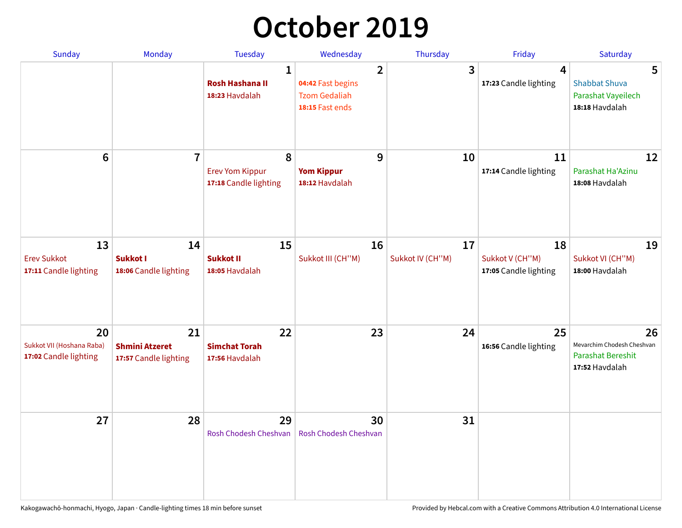## **October 2019**

| <b>Sunday</b>                                            | <b>Monday</b>                                        | <b>Tuesday</b>                                           | Wednesday                                                                      | Thursday               | Friday                                         | Saturday                                                                       |
|----------------------------------------------------------|------------------------------------------------------|----------------------------------------------------------|--------------------------------------------------------------------------------|------------------------|------------------------------------------------|--------------------------------------------------------------------------------|
|                                                          |                                                      | $\mathbf{1}$<br><b>Rosh Hashana II</b><br>18:23 Havdalah | $\overline{2}$<br>04:42 Fast begins<br><b>Tzom Gedaliah</b><br>18:15 Fast ends | 3                      | 4<br>17:23 Candle lighting                     | 5<br><b>Shabbat Shuva</b><br>Parashat Vayeilech<br>18:18 Havdalah              |
| $6\phantom{1}$                                           | $\overline{7}$                                       | 8<br><b>Erev Yom Kippur</b><br>17:18 Candle lighting     | 9<br><b>Yom Kippur</b><br>18:12 Havdalah                                       | 10                     | 11<br>17:14 Candle lighting                    | 12<br>Parashat Ha'Azinu<br>18:08 Havdalah                                      |
| 13<br><b>Erev Sukkot</b><br>17:11 Candle lighting        | 14<br>Sukkot I<br>18:06 Candle lighting              | 15<br><b>Sukkot II</b><br>18:05 Havdalah                 | 16<br>Sukkot III (CH"M)                                                        | 17<br>Sukkot IV (CH"M) | 18<br>Sukkot V (CH"M)<br>17:05 Candle lighting | 19<br>Sukkot VI (CH"M)<br>18:00 Havdalah                                       |
| 20<br>Sukkot VII (Hoshana Raba)<br>17:02 Candle lighting | 21<br><b>Shmini Atzeret</b><br>17:57 Candle lighting | 22<br><b>Simchat Torah</b><br>17:56 Havdalah             | 23                                                                             | 24                     | 25<br>16:56 Candle lighting                    | 26<br>Mevarchim Chodesh Cheshvan<br><b>Parashat Bereshit</b><br>17:52 Havdalah |
| 27                                                       | 28                                                   | 29<br>Rosh Chodesh Cheshvan                              | 30<br>Rosh Chodesh Cheshvan                                                    | 31                     |                                                |                                                                                |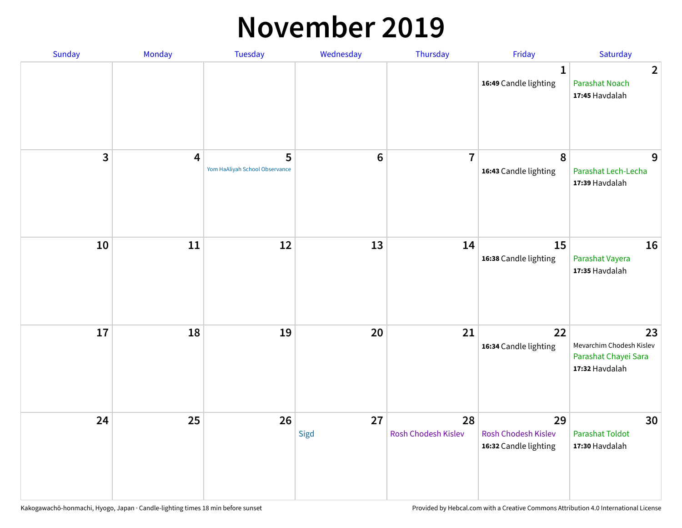#### **November 2019**

| Sunday | Monday                  | Tuesday                             | Wednesday  | Thursday                  | Friday                                                    | Saturday                                                                 |
|--------|-------------------------|-------------------------------------|------------|---------------------------|-----------------------------------------------------------|--------------------------------------------------------------------------|
|        |                         |                                     |            |                           | 1<br>16:49 Candle lighting                                | $\overline{2}$<br><b>Parashat Noach</b><br>17:45 Havdalah                |
| 3      | $\overline{\mathbf{4}}$ | 5<br>Yom HaAliyah School Observance | $\bf 6$    | $\overline{7}$            | 8<br>16:43 Candle lighting                                | 9<br>Parashat Lech-Lecha<br>17:39 Havdalah                               |
| 10     | 11                      | 12                                  | 13         | 14                        | 15<br>16:38 Candle lighting                               | 16<br>Parashat Vayera<br>17:35 Havdalah                                  |
| 17     | 18                      | 19                                  | 20         | 21                        | 22<br>16:34 Candle lighting                               | 23<br>Mevarchim Chodesh Kislev<br>Parashat Chayei Sara<br>17:32 Havdalah |
| 24     | 25                      | 26                                  | 27<br>Sigd | 28<br>Rosh Chodesh Kislev | 29<br><b>Rosh Chodesh Kislev</b><br>16:32 Candle lighting | 30<br><b>Parashat Toldot</b><br>17:30 Havdalah                           |